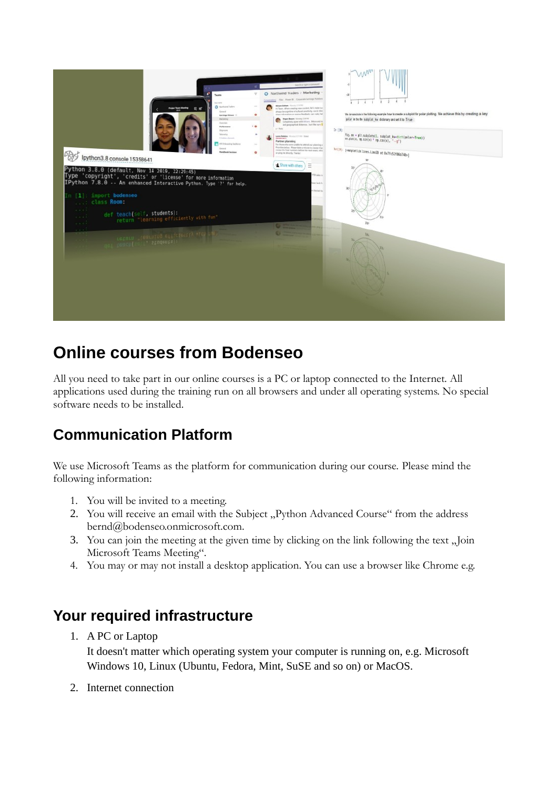

# **Online courses from Bodenseo**

All you need to take part in our online courses is a PC or laptop connected to the Internet. All applications used during the training run on all browsers and under all operating systems. No special software needs to be installed.

# **Communication Platform**

We use Microsoft Teams as the platform for communication during our course. Please mind the following information:

- 1. You will be invited to a meeting.
- 2. You will receive an email with the Subject "Python Advanced Course" from the address bernd@bodenseo.onmicrosoft.com.
- 3. You can join the meeting at the given time by clicking on the link following the text "Join Microsoft Teams Meeting".
- 4. You may or may not install a desktop application. You can use a browser like Chrome e.g.

#### **Your required infrastructure**

1. A PC or Laptop

It doesn't matter which operating system your computer is running on, e.g. Microsoft Windows 10, Linux (Ubuntu, Fedora, Mint, SuSE and so on) or MacOS.

2. Internet connection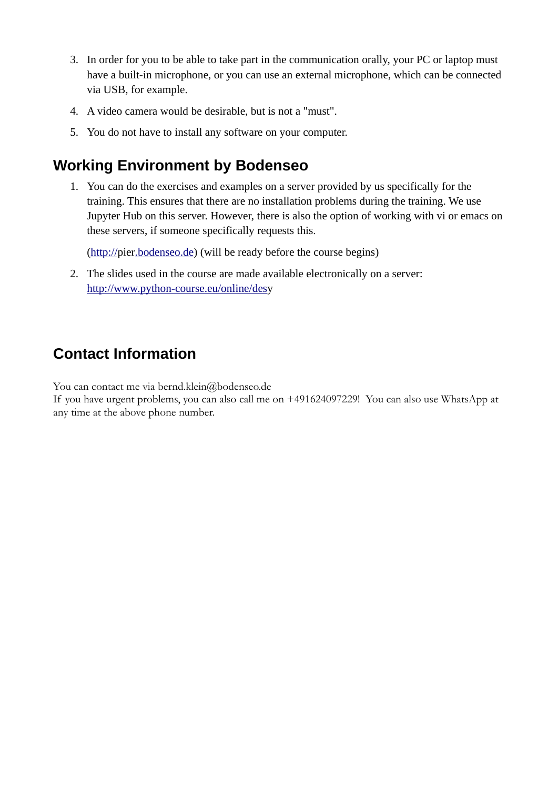- 3. In order for you to be able to take part in the communication orally, your PC or laptop must have a built-in microphone, or you can use an external microphone, which can be connected via USB, for example.
- 4. A video camera would be desirable, but is not a "must".
- 5. You do not have to install any software on your computer.

# **Working Environment by Bodenseo**

1. You can do the exercises and examples on a server provided by us specifically for the training. This ensures that there are no installation problems during the training. We use Jupyter Hub on this server. However, there is also the option of working with vi or emacs on these servers, if someone specifically requests this.

([http://](http://desy.bodenseo.de/)pie[r.bodenseo.de\)](http://desy.bodenseo.de/) (will be ready before the course begins)

2. The slides used in the course are made available electronically on a server: http://www.python-course.eu/online/desy

### **Contact Information**

You can contact me via bernd.klein@bodenseo.de

If you have urgent problems, you can also call me on +491624097229! You can also use WhatsApp at any time at the above phone number.